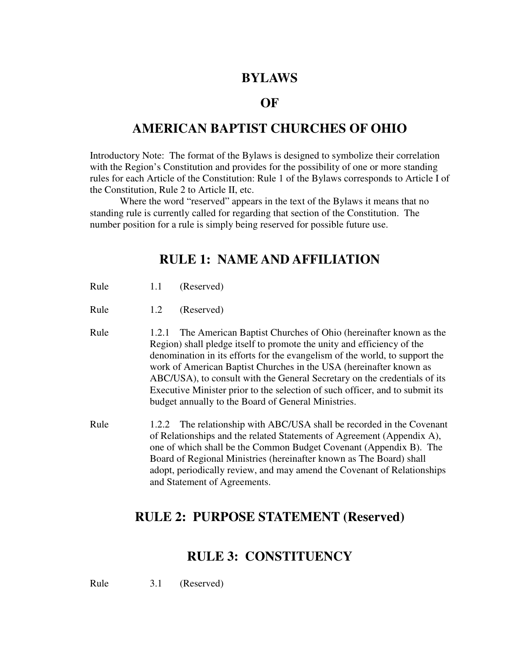#### **BYLAWS**

#### **OF**

#### **AMERICAN BAPTIST CHURCHES OF OHIO**

Introductory Note: The format of the Bylaws is designed to symbolize their correlation with the Region's Constitution and provides for the possibility of one or more standing rules for each Article of the Constitution: Rule 1 of the Bylaws corresponds to Article I of the Constitution, Rule 2 to Article II, etc.

 Where the word "reserved" appears in the text of the Bylaws it means that no standing rule is currently called for regarding that section of the Constitution. The number position for a rule is simply being reserved for possible future use.

### **RULE 1: NAME AND AFFILIATION**

- Rule 1.1 (Reserved)
- Rule 1.2 (Reserved)
- Rule 1.2.1 The American Baptist Churches of Ohio (hereinafter known as the Region) shall pledge itself to promote the unity and efficiency of the denomination in its efforts for the evangelism of the world, to support the work of American Baptist Churches in the USA (hereinafter known as ABC/USA), to consult with the General Secretary on the credentials of its Executive Minister prior to the selection of such officer, and to submit its budget annually to the Board of General Ministries.
- Rule 1.2.2 The relationship with ABC/USA shall be recorded in the Covenant of Relationships and the related Statements of Agreement (Appendix A), one of which shall be the Common Budget Covenant (Appendix B).The Board of Regional Ministries (hereinafter known as The Board) shall adopt, periodically review, and may amend the Covenant of Relationships and Statement of Agreements.

#### **RULE 2: PURPOSE STATEMENT (Reserved)**

#### **RULE 3: CONSTITUENCY**

Rule 3.1 (Reserved)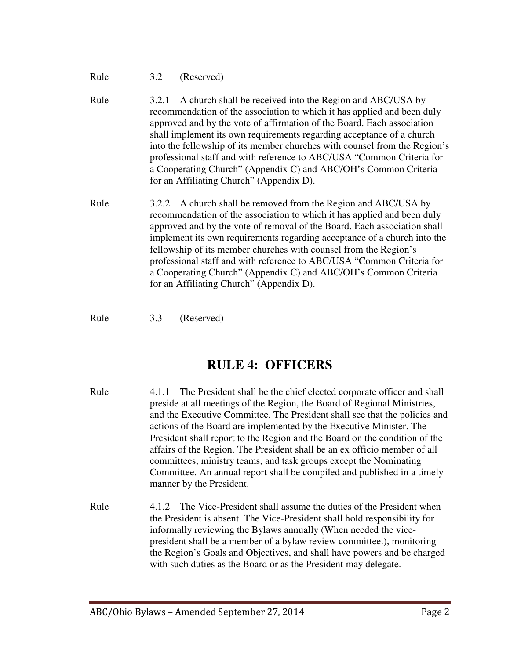#### Rule 3.2 (Reserved)

- Rule 3.2.1 A church shall be received into the Region and ABC/USA by recommendation of the association to which it has applied and been duly approved and by the vote of affirmation of the Board. Each association shall implement its own requirements regarding acceptance of a church into the fellowship of its member churches with counsel from the Region's professional staff and with reference to ABC/USA "Common Criteria for a Cooperating Church" (Appendix C) and ABC/OH's Common Criteria for an Affiliating Church" (Appendix D).
- Rule 3.2.2 A church shall be removed from the Region and ABC/USA by recommendation of the association to which it has applied and been duly approved and by the vote of removal of the Board. Each association shall implement its own requirements regarding acceptance of a church into the fellowship of its member churches with counsel from the Region's professional staff and with reference to ABC/USA "Common Criteria for a Cooperating Church" (Appendix C) and ABC/OH's Common Criteria for an Affiliating Church" (Appendix D).

Rule 3.3 (Reserved)

### **RULE 4: OFFICERS**

- Rule 4.1.1 The President shall be the chief elected corporate officer and shall preside at all meetings of the Region, the Board of Regional Ministries, and the Executive Committee. The President shall see that the policies and actions of the Board are implemented by the Executive Minister. The President shall report to the Region and the Board on the condition of the affairs of the Region. The President shall be an ex officio member of all committees, ministry teams, and task groups except the Nominating Committee. An annual report shall be compiled and published in a timely manner by the President.
- Rule 4.1.2 The Vice-President shall assume the duties of the President when the President is absent. The Vice-President shall hold responsibility for informally reviewing the Bylaws annually (When needed the vicepresident shall be a member of a bylaw review committee.), monitoring the Region's Goals and Objectives, and shall have powers and be charged with such duties as the Board or as the President may delegate.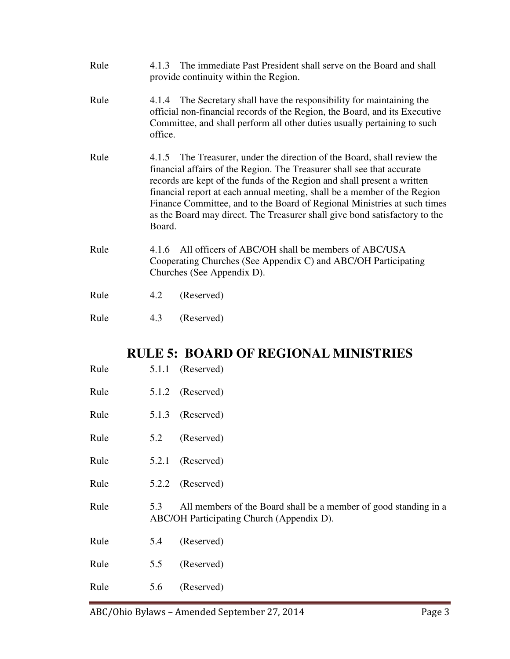- Rule 4.1.3 The immediate Past President shall serve on the Board and shall provide continuity within the Region.
- Rule 4.1.4 The Secretary shall have the responsibility for maintaining the official non-financial records of the Region, the Board, and its Executive Committee, and shall perform all other duties usually pertaining to such office.
- Rule 4.1.5 The Treasurer, under the direction of the Board, shall review the financial affairs of the Region. The Treasurer shall see that accurate records are kept of the funds of the Region and shall present a written financial report at each annual meeting, shall be a member of the Region Finance Committee, and to the Board of Regional Ministries at such times as the Board may direct. The Treasurer shall give bond satisfactory to the Board.
- Rule 4.1.6 All officers of ABC/OH shall be members of ABC/USA Cooperating Churches (See Appendix C) and ABC/OH Participating Churches (See Appendix D).
- Rule 4.2 (Reserved)
- Rule 4.3 (Reserved)

### **RULE 5: BOARD OF REGIONAL MINISTRIES**

- Rule 5.1.1 (Reserved)
- Rule 5.1.2 (Reserved)
- Rule 5.1.3 (Reserved)
- Rule 5.2 (Reserved)
- Rule 5.2.1 (Reserved)
- Rule 5.2.2 (Reserved)
- Rule 5.3 All members of the Board shall be a member of good standing in a ABC/OH Participating Church (Appendix D).
- Rule 5.4 (Reserved)
- Rule 5.5 (Reserved)
- Rule 5.6 (Reserved)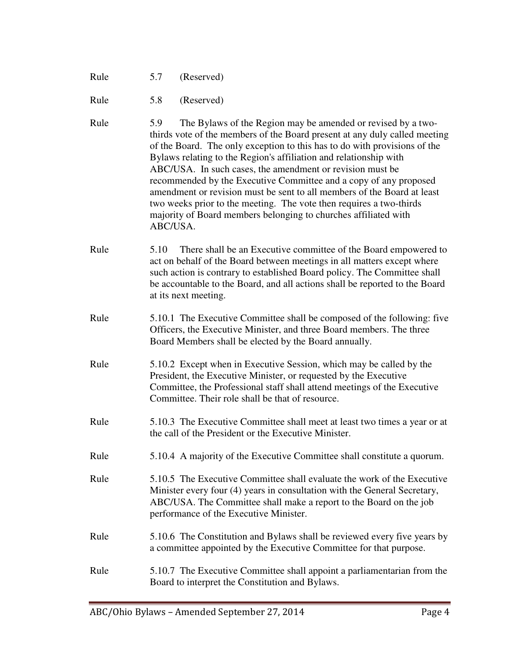Rule 5.7 (Reserved)

Rule 5.8 (Reserved)

- Rule 5.9 The Bylaws of the Region may be amended or revised by a twothirds vote of the members of the Board present at any duly called meeting of the Board. The only exception to this has to do with provisions of the Bylaws relating to the Region's affiliation and relationship with ABC/USA. In such cases, the amendment or revision must be recommended by the Executive Committee and a copy of any proposed amendment or revision must be sent to all members of the Board at least two weeks prior to the meeting. The vote then requires a two-thirds majority of Board members belonging to churches affiliated with ABC/USA.
- Rule 5.10 There shall be an Executive committee of the Board empowered to act on behalf of the Board between meetings in all matters except where such action is contrary to established Board policy. The Committee shall be accountable to the Board, and all actions shall be reported to the Board at its next meeting.
- Rule 5.10.1 The Executive Committee shall be composed of the following: five Officers, the Executive Minister, and three Board members. The three Board Members shall be elected by the Board annually.
- Rule 5.10.2 Except when in Executive Session, which may be called by the President, the Executive Minister, or requested by the Executive Committee, the Professional staff shall attend meetings of the Executive Committee. Their role shall be that of resource.
- Rule 5.10.3 The Executive Committee shall meet at least two times a year or at the call of the President or the Executive Minister.
- Rule 5.10.4 A majority of the Executive Committee shall constitute a quorum.
- Rule 5.10.5 The Executive Committee shall evaluate the work of the Executive Minister every four (4) years in consultation with the General Secretary, ABC/USA. The Committee shall make a report to the Board on the job performance of the Executive Minister.
- Rule 5.10.6 The Constitution and Bylaws shall be reviewed every five years by a committee appointed by the Executive Committee for that purpose.
- Rule 5.10.7 The Executive Committee shall appoint a parliamentarian from the Board to interpret the Constitution and Bylaws.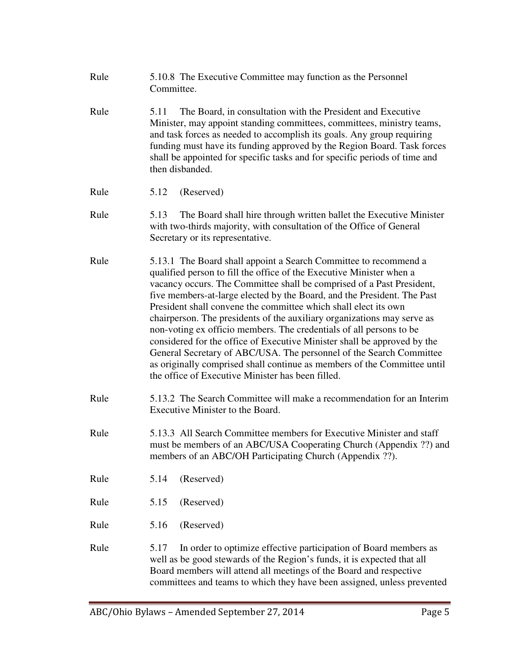- Rule 5.10.8 The Executive Committee may function as the Personnel Committee.
- Rule 5.11 The Board, in consultation with the President and Executive Minister, may appoint standing committees, committees, ministry teams, and task forces as needed to accomplish its goals. Any group requiring funding must have its funding approved by the Region Board. Task forces shall be appointed for specific tasks and for specific periods of time and then disbanded.
- Rule 5.12 (Reserved)
- Rule 5.13 The Board shall hire through written ballet the Executive Minister with two-thirds majority, with consultation of the Office of General Secretary or its representative.
- Rule 5.13.1 The Board shall appoint a Search Committee to recommend a qualified person to fill the office of the Executive Minister when a vacancy occurs. The Committee shall be comprised of a Past President, five members-at-large elected by the Board, and the President. The Past President shall convene the committee which shall elect its own chairperson. The presidents of the auxiliary organizations may serve as non-voting ex officio members. The credentials of all persons to be considered for the office of Executive Minister shall be approved by the General Secretary of ABC/USA. The personnel of the Search Committee as originally comprised shall continue as members of the Committee until the office of Executive Minister has been filled.
- Rule 5.13.2 The Search Committee will make a recommendation for an Interim Executive Minister to the Board.
- Rule 5.13.3 All Search Committee members for Executive Minister and staff must be members of an ABC/USA Cooperating Church (Appendix ??) and members of an ABC/OH Participating Church (Appendix ??).
- Rule 5.14 (Reserved)
- Rule 5.15 (Reserved)
- Rule 5.16 (Reserved)
- Rule 5.17 In order to optimize effective participation of Board members as well as be good stewards of the Region's funds, it is expected that all Board members will attend all meetings of the Board and respective committees and teams to which they have been assigned, unless prevented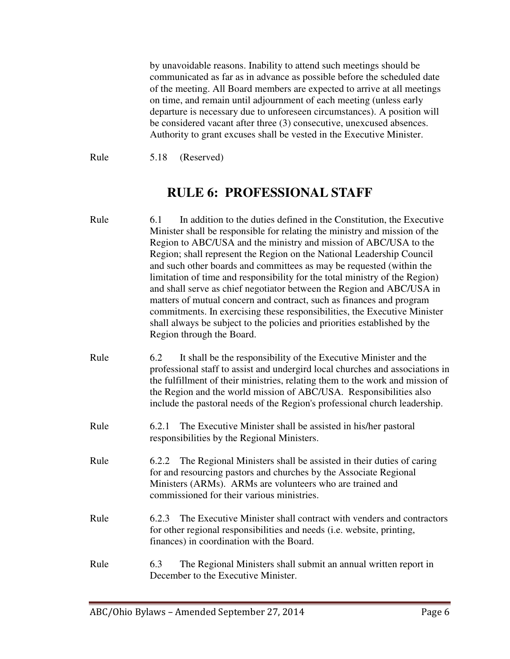by unavoidable reasons. Inability to attend such meetings should be communicated as far as in advance as possible before the scheduled date of the meeting. All Board members are expected to arrive at all meetings on time, and remain until adjournment of each meeting (unless early departure is necessary due to unforeseen circumstances). A position will be considered vacant after three (3) consecutive, unexcused absences. Authority to grant excuses shall be vested in the Executive Minister.

Rule 5.18 (Reserved)

### **RULE 6: PROFESSIONAL STAFF**

| Rule | In addition to the duties defined in the Constitution, the Executive<br>6.1<br>Minister shall be responsible for relating the ministry and mission of the<br>Region to ABC/USA and the ministry and mission of ABC/USA to the<br>Region; shall represent the Region on the National Leadership Council<br>and such other boards and committees as may be requested (within the<br>limitation of time and responsibility for the total ministry of the Region)<br>and shall serve as chief negotiator between the Region and ABC/USA in<br>matters of mutual concern and contract, such as finances and program<br>commitments. In exercising these responsibilities, the Executive Minister<br>shall always be subject to the policies and priorities established by the<br>Region through the Board. |
|------|-------------------------------------------------------------------------------------------------------------------------------------------------------------------------------------------------------------------------------------------------------------------------------------------------------------------------------------------------------------------------------------------------------------------------------------------------------------------------------------------------------------------------------------------------------------------------------------------------------------------------------------------------------------------------------------------------------------------------------------------------------------------------------------------------------|
| Rule | 6.2<br>It shall be the responsibility of the Executive Minister and the<br>professional staff to assist and undergird local churches and associations in<br>the fulfillment of their ministries, relating them to the work and mission of<br>the Region and the world mission of ABC/USA. Responsibilities also<br>include the pastoral needs of the Region's professional church leadership.                                                                                                                                                                                                                                                                                                                                                                                                         |
| Rule | The Executive Minister shall be assisted in his/her pastoral<br>6.2.1<br>responsibilities by the Regional Ministers.                                                                                                                                                                                                                                                                                                                                                                                                                                                                                                                                                                                                                                                                                  |
| Rule | The Regional Ministers shall be assisted in their duties of caring<br>6.2.2<br>for and resourcing pastors and churches by the Associate Regional<br>Ministers (ARMs). ARMs are volunteers who are trained and<br>commissioned for their various ministries.                                                                                                                                                                                                                                                                                                                                                                                                                                                                                                                                           |
| Rule | The Executive Minister shall contract with venders and contractors<br>6.2.3<br>for other regional responsibilities and needs (i.e. website, printing,<br>finances) in coordination with the Board.                                                                                                                                                                                                                                                                                                                                                                                                                                                                                                                                                                                                    |
| Rule | The Regional Ministers shall submit an annual written report in<br>6.3<br>December to the Executive Minister.                                                                                                                                                                                                                                                                                                                                                                                                                                                                                                                                                                                                                                                                                         |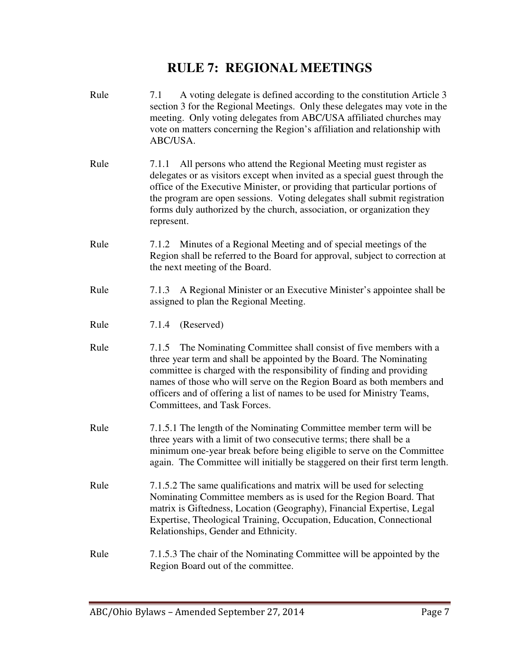### **RULE 7: REGIONAL MEETINGS**

Rule 7.1 A voting delegate is defined according to the constitution Article 3

section 3 for the Regional Meetings. Only these delegates may vote in the meeting. Only voting delegates from ABC/USA affiliated churches may vote on matters concerning the Region's affiliation and relationship with ABC/USA. Rule 7.1.1 All persons who attend the Regional Meeting must register as delegates or as visitors except when invited as a special guest through the office of the Executive Minister, or providing that particular portions of the program are open sessions. Voting delegates shall submit registration forms duly authorized by the church, association, or organization they represent. Rule 7.1.2 Minutes of a Regional Meeting and of special meetings of the Region shall be referred to the Board for approval, subject to correction at the next meeting of the Board. Rule 7.1.3 A Regional Minister or an Executive Minister's appointee shall be assigned to plan the Regional Meeting. Rule 7.1.4 (Reserved) Rule 7.1.5 The Nominating Committee shall consist of five members with a three year term and shall be appointed by the Board. The Nominating committee is charged with the responsibility of finding and providing names of those who will serve on the Region Board as both members and officers and of offering a list of names to be used for Ministry Teams, Committees, and Task Forces. Rule 7.1.5.1 The length of the Nominating Committee member term will be three years with a limit of two consecutive terms; there shall be a minimum one-year break before being eligible to serve on the Committee again. The Committee will initially be staggered on their first term length. Rule 7.1.5.2 The same qualifications and matrix will be used for selecting Nominating Committee members as is used for the Region Board. That matrix is Giftedness, Location (Geography), Financial Expertise, Legal Expertise, Theological Training, Occupation, Education, Connectional Relationships, Gender and Ethnicity. Rule 7.1.5.3 The chair of the Nominating Committee will be appointed by the Region Board out of the committee.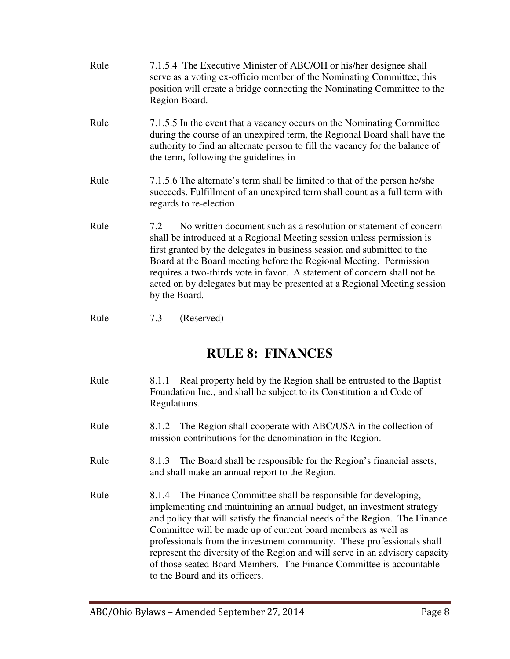- Rule 7.1.5.4 The Executive Minister of ABC/OH or his/her designee shall serve as a voting ex-officio member of the Nominating Committee; this position will create a bridge connecting the Nominating Committee to the Region Board. Rule 7.1.5.5 In the event that a vacancy occurs on the Nominating Committee during the course of an unexpired term, the Regional Board shall have the authority to find an alternate person to fill the vacancy for the balance of the term, following the guidelines in Rule 7.1.5.6 The alternate's term shall be limited to that of the person he/she succeeds. Fulfillment of an unexpired term shall count as a full term with regards to re-election. Rule 7.2 No written document such as a resolution or statement of concern shall be introduced at a Regional Meeting session unless permission is first granted by the delegates in business session and submitted to the Board at the Board meeting before the Regional Meeting. Permission requires a two-thirds vote in favor. A statement of concern shall not be acted on by delegates but may be presented at a Regional Meeting session by the Board.
- Rule 7.3 (Reserved)

## **RULE 8: FINANCES**

- Rule 8.1.1 Real property held by the Region shall be entrusted to the Baptist Foundation Inc., and shall be subject to its Constitution and Code of Regulations. Rule 8.1.2 The Region shall cooperate with ABC/USA in the collection of mission contributions for the denomination in the Region. Rule 8.1.3 The Board shall be responsible for the Region's financial assets, and shall make an annual report to the Region.
- Rule 8.1.4 The Finance Committee shall be responsible for developing, implementing and maintaining an annual budget, an investment strategy and policy that will satisfy the financial needs of the Region. The Finance Committee will be made up of current board members as well as professionals from the investment community. These professionals shall represent the diversity of the Region and will serve in an advisory capacity of those seated Board Members. The Finance Committee is accountable to the Board and its officers.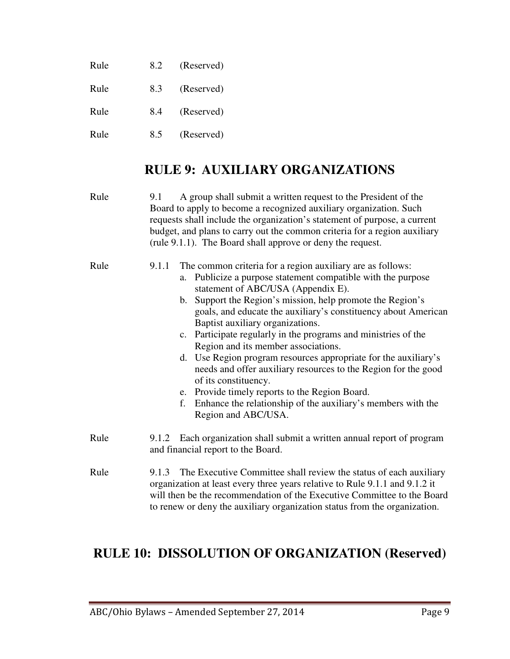| Rule | 8.2 | (Reserved) |
|------|-----|------------|
| Rule | 8.3 | (Reserved) |
| Rule | 8.4 | (Reserved) |
| Rule | 8.5 | (Reserved) |

## **RULE 9: AUXILIARY ORGANIZATIONS**

| Rule | A group shall submit a written request to the President of the<br>9.1<br>Board to apply to become a recognized auxiliary organization. Such<br>requests shall include the organization's statement of purpose, a current<br>budget, and plans to carry out the common criteria for a region auxiliary<br>(rule 9.1.1). The Board shall approve or deny the request.                                                                                                                                                                                                                                                                                                                                                                                                |
|------|--------------------------------------------------------------------------------------------------------------------------------------------------------------------------------------------------------------------------------------------------------------------------------------------------------------------------------------------------------------------------------------------------------------------------------------------------------------------------------------------------------------------------------------------------------------------------------------------------------------------------------------------------------------------------------------------------------------------------------------------------------------------|
| Rule | The common criteria for a region auxiliary are as follows:<br>9.1.1<br>a. Publicize a purpose statement compatible with the purpose<br>statement of ABC/USA (Appendix E).<br>b. Support the Region's mission, help promote the Region's<br>goals, and educate the auxiliary's constituency about American<br>Baptist auxiliary organizations.<br>c. Participate regularly in the programs and ministries of the<br>Region and its member associations.<br>d. Use Region program resources appropriate for the auxiliary's<br>needs and offer auxiliary resources to the Region for the good<br>of its constituency.<br>e. Provide timely reports to the Region Board.<br>Enhance the relationship of the auxiliary's members with the<br>f.<br>Region and ABC/USA. |
| Rule | 9.1.2 Each organization shall submit a written annual report of program<br>and financial report to the Board.                                                                                                                                                                                                                                                                                                                                                                                                                                                                                                                                                                                                                                                      |
| Rule | The Executive Committee shall review the status of each auxiliary<br>9.1.3<br>organization at least every three years relative to Rule 9.1.1 and 9.1.2 it<br>will then be the recommendation of the Executive Committee to the Board<br>to renew or deny the auxiliary organization status from the organization.                                                                                                                                                                                                                                                                                                                                                                                                                                                  |

# **RULE 10: DISSOLUTION OF ORGANIZATION (Reserved)**